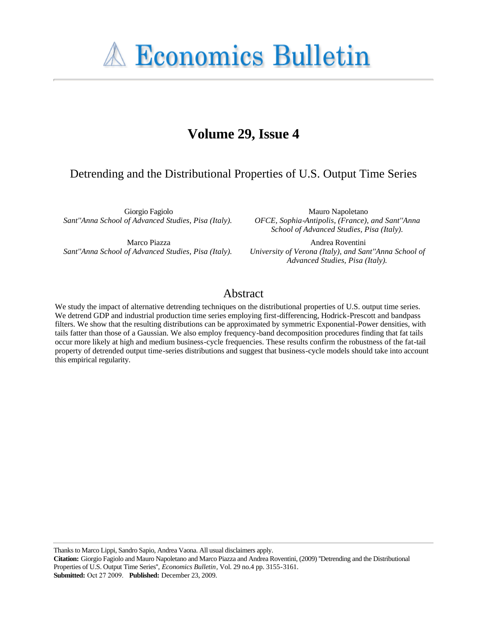**A Economics Bulletin** 

# **Volume 29, Issue 4**

## Detrending and the Distributional Properties of U.S. Output Time Series

Giorgio Fagiolo *Sant''Anna School of Advanced Studies, Pisa (Italy).*

Marco Piazza *Sant''Anna School of Advanced Studies, Pisa (Italy).*

Mauro Napoletano *OFCE, Sophia-Antipolis, (France), and Sant''Anna School of Advanced Studies, Pisa (Italy).*

Andrea Roventini *University of Verona (Italy), and Sant''Anna School of Advanced Studies, Pisa (Italy).*

### Abstract

We study the impact of alternative detrending techniques on the distributional properties of U.S. output time series. We detrend GDP and industrial production time series employing first-differencing, Hodrick-Prescott and bandpass filters. We show that the resulting distributions can be approximated by symmetric Exponential-Power densities, with tails fatter than those of a Gaussian. We also employ frequency-band decomposition procedures finding that fat tails occur more likely at high and medium business-cycle frequencies. These results confirm the robustness of the fat-tail property of detrended output time-series distributions and suggest that business-cycle models should take into account this empirical regularity.

Thanks to Marco Lippi, Sandro Sapio, Andrea Vaona. All usual disclaimers apply.

**Citation:** Giorgio Fagiolo and Mauro Napoletano and Marco Piazza and Andrea Roventini, (2009) ''Detrending and the Distributional Properties of U.S. Output Time Series'', *Economics Bulletin*, Vol. 29 no.4 pp. 3155-3161. **Submitted:** Oct 27 2009. **Published:** December 23, 2009.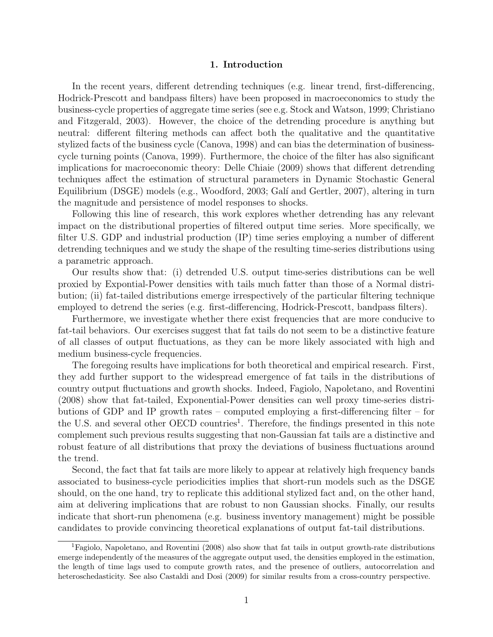#### 1. Introduction

In the recent years, different detrending techniques (e.g. linear trend, first-differencing, Hodrick-Prescott and bandpass filters) have been proposed in macroeconomics to study the business-cycle properties of aggregate time series (see e.g. Stock and Watson, 1999; Christiano and Fitzgerald, 2003). However, the choice of the detrending procedure is anything but neutral: different filtering methods can affect both the qualitative and the quantitative stylized facts of the business cycle (Canova, 1998) and can bias the determination of businesscycle turning points (Canova, 1999). Furthermore, the choice of the filter has also significant implications for macroeconomic theory: Delle Chiaie (2009) shows that different detrending techniques affect the estimation of structural parameters in Dynamic Stochastic General Equilibrium (DSGE) models (e.g., Woodford, 2003; Galí and Gertler, 2007), altering in turn the magnitude and persistence of model responses to shocks.

Following this line of research, this work explores whether detrending has any relevant impact on the distributional properties of filtered output time series. More specifically, we filter U.S. GDP and industrial production (IP) time series employing a number of different detrending techniques and we study the shape of the resulting time-series distributions using a parametric approach.

Our results show that: (i) detrended U.S. output time-series distributions can be well proxied by Expontial-Power densities with tails much fatter than those of a Normal distribution; (ii) fat-tailed distributions emerge irrespectively of the particular filtering technique employed to detrend the series (e.g. first-differencing, Hodrick-Prescott, bandpass filters).

Furthermore, we investigate whether there exist frequencies that are more conducive to fat-tail behaviors. Our exercises suggest that fat tails do not seem to be a distinctive feature of all classes of output fluctuations, as they can be more likely associated with high and medium business-cycle frequencies.

The foregoing results have implications for both theoretical and empirical research. First, they add further support to the widespread emergence of fat tails in the distributions of country output fluctuations and growth shocks. Indeed, Fagiolo, Napoletano, and Roventini (2008) show that fat-tailed, Exponential-Power densities can well proxy time-series distributions of GDP and IP growth rates – computed employing a first-differencing filter – for the U.S. and several other OECD countries<sup>1</sup>. Therefore, the findings presented in this note complement such previous results suggesting that non-Gaussian fat tails are a distinctive and robust feature of all distributions that proxy the deviations of business fluctuations around the trend.

Second, the fact that fat tails are more likely to appear at relatively high frequency bands associated to business-cycle periodicities implies that short-run models such as the DSGE should, on the one hand, try to replicate this additional stylized fact and, on the other hand, aim at delivering implications that are robust to non Gaussian shocks. Finally, our results indicate that short-run phenomena (e.g. business inventory management) might be possible candidates to provide convincing theoretical explanations of output fat-tail distributions.

<sup>&</sup>lt;sup>1</sup>Fagiolo, Napoletano, and Roventini (2008) also show that fat tails in output growth-rate distributions emerge independently of the measures of the aggregate output used, the densities employed in the estimation, the length of time lags used to compute growth rates, and the presence of outliers, autocorrelation and heteroschedasticity. See also Castaldi and Dosi (2009) for similar results from a cross-country perspective.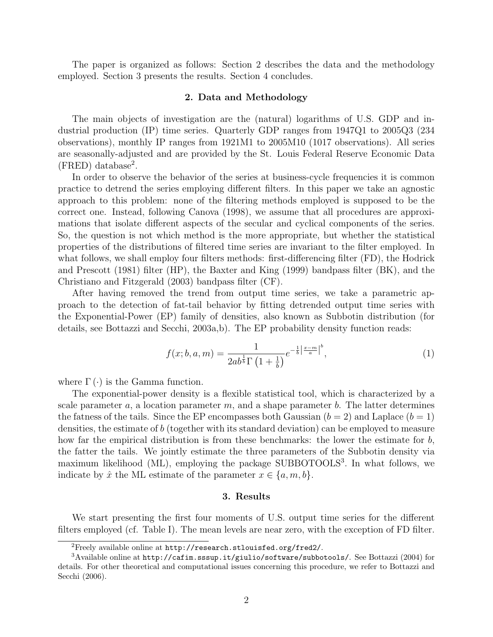The paper is organized as follows: Section 2 describes the data and the methodology employed. Section 3 presents the results. Section 4 concludes.

#### 2. Data and Methodology

The main objects of investigation are the (natural) logarithms of U.S. GDP and industrial production (IP) time series. Quarterly GDP ranges from 1947Q1 to 2005Q3 (234 observations), monthly IP ranges from 1921M1 to 2005M10 (1017 observations). All series are seasonally-adjusted and are provided by the St. Louis Federal Reserve Economic Data (FRED) database<sup>2</sup> .

In order to observe the behavior of the series at business-cycle frequencies it is common practice to detrend the series employing different filters. In this paper we take an agnostic approach to this problem: none of the filtering methods employed is supposed to be the correct one. Instead, following Canova (1998), we assume that all procedures are approximations that isolate different aspects of the secular and cyclical components of the series. So, the question is not which method is the more appropriate, but whether the statistical properties of the distributions of filtered time series are invariant to the filter employed. In what follows, we shall employ four filters methods: first-differencing filter (FD), the Hodrick and Prescott (1981) filter (HP), the Baxter and King (1999) bandpass filter (BK), and the Christiano and Fitzgerald (2003) bandpass filter (CF).

After having removed the trend from output time series, we take a parametric approach to the detection of fat-tail behavior by fitting detrended output time series with the Exponential-Power (EP) family of densities, also known as Subbotin distribution (for details, see Bottazzi and Secchi, 2003a,b). The EP probability density function reads:

$$
f(x; b, a, m) = \frac{1}{2ab^{\frac{1}{b}}\Gamma\left(1 + \frac{1}{b}\right)} e^{-\frac{1}{b}\left|\frac{x - m}{a}\right|^{b}},
$$
\n(1)

where  $\Gamma(\cdot)$  is the Gamma function.

The exponential-power density is a flexible statistical tool, which is characterized by a scale parameter a, a location parameter m, and a shape parameter b. The latter determines the fatness of the tails. Since the EP encompasses both Gaussian  $(b = 2)$  and Laplace  $(b = 1)$ densities, the estimate of b (together with its standard deviation) can be employed to measure how far the empirical distribution is from these benchmarks: the lower the estimate for b, the fatter the tails. We jointly estimate the three parameters of the Subbotin density via maximum likelihood (ML), employing the package SUBBOTOOLS<sup>3</sup>. In what follows, we indicate by  $\hat{x}$  the ML estimate of the parameter  $x \in \{a, m, b\}$ .

#### 3. Results

We start presenting the first four moments of U.S. output time series for the different filters employed (cf. Table I). The mean levels are near zero, with the exception of FD filter.

<sup>2</sup>Freely available online at http://research.stlouisfed.org/fred2/.

 $3A$ vailable online at http://cafim.sssup.it/giulio/software/subbotools/. See Bottazzi (2004) for details. For other theoretical and computational issues concerning this procedure, we refer to Bottazzi and Secchi (2006).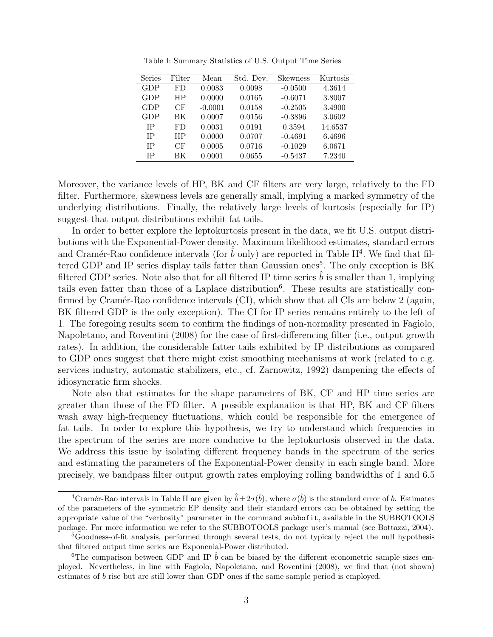| Series | Filter    | Mean      | Std. Dev. | <b>Skewness</b> | Kurtosis |
|--------|-----------|-----------|-----------|-----------------|----------|
| GDP    | FD        | 0.0083    | 0.0098    | $-0.0500$       | 4.3614   |
| GDP    | ΗP        | 0.0000    | 0.0165    | $-0.6071$       | 3.8007   |
| GDP    | CF        | $-0.0001$ | 0.0158    | $-0.2505$       | 3.4900   |
| GDP    | ВK        | 0.0007    | 0.0156    | $-0.3896$       | 3.0602   |
| IΡ     | FD        | 0.0031    | 0.0191    | 0.3594          | 14.6537  |
| IΡ     | <b>HP</b> | 0.0000    | 0.0707    | $-0.4691$       | 6.4696   |
| IΡ     | CF        | 0.0005    | 0.0716    | $-0.1029$       | 6.0671   |
| IΡ     | ВK        | 0.0001    | 0.0655    | $-0.5437$       | 7.2340   |

Table I: Summary Statistics of U.S. Output Time Series

Moreover, the variance levels of HP, BK and CF filters are very large, relatively to the FD filter. Furthermore, skewness levels are generally small, implying a marked symmetry of the underlying distributions. Finally, the relatively large levels of kurtosis (especially for IP) suggest that output distributions exhibit fat tails.

In order to better explore the leptokurtosis present in the data, we fit U.S. output distributions with the Exponential-Power density. Maximum likelihood estimates, standard errors and Cramér-Rao confidence intervals (for  $\hat{b}$  only) are reported in Table II<sup>4</sup>. We find that filtered GDP and IP series display tails fatter than Gaussian ones<sup>5</sup>. The only exception is BK filtered GDP series. Note also that for all filtered IP time series  $b$  is smaller than 1, implying tails even fatter than those of a Laplace distribution<sup>6</sup>. These results are statistically confirmed by Cramér-Rao confidence intervals  $(CI)$ , which show that all CIs are below 2 (again, BK filtered GDP is the only exception). The CI for IP series remains entirely to the left of 1. The foregoing results seem to confirm the findings of non-normality presented in Fagiolo, Napoletano, and Roventini (2008) for the case of first-differencing filter (i.e., output growth rates). In addition, the considerable fatter tails exhibited by IP distributions as compared to GDP ones suggest that there might exist smoothing mechanisms at work (related to e.g. services industry, automatic stabilizers, etc., cf. Zarnowitz, 1992) dampening the effects of idiosyncratic firm shocks.

Note also that estimates for the shape parameters of BK, CF and HP time series are greater than those of the FD filter. A possible explanation is that HP, BK and CF filters wash away high-frequency fluctuations, which could be responsible for the emergence of fat tails. In order to explore this hypothesis, we try to understand which frequencies in the spectrum of the series are more conducive to the leptokurtosis observed in the data. We address this issue by isolating different frequency bands in the spectrum of the series and estimating the parameters of the Exponential-Power density in each single band. More precisely, we bandpass filter output growth rates employing rolling bandwidths of 1 and 6.5

<sup>&</sup>lt;sup>4</sup>Cramér-Rao intervals in Table II are given by  $\hat{b} \pm 2\sigma(\hat{b})$ , where  $\sigma(\hat{b})$  is the standard error of b. Estimates of the parameters of the symmetric EP density and their standard errors can be obtained by setting the appropriate value of the "verbosity" parameter in the command subbofit, available in the SUBBOTOOLS package. For more information we refer to the SUBBOTOOLS package user's manual (see Bottazzi, 2004).

<sup>5</sup>Goodness-of-fit analysis, performed through several tests, do not typically reject the null hypothesis that filtered output time series are Exponenial-Power distributed.

<sup>&</sup>lt;sup>6</sup>The comparison between GDP and IP  $\hat{b}$  can be biased by the different econometric sample sizes employed. Nevertheless, in line with Fagiolo, Napoletano, and Roventini (2008), we find that (not shown) estimates of b rise but are still lower than GDP ones if the same sample period is employed.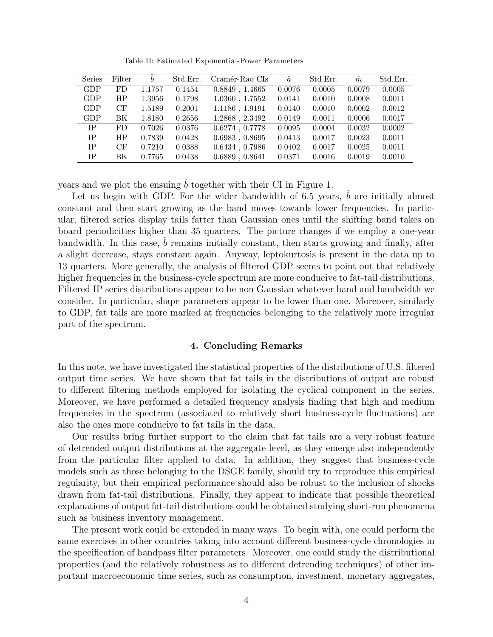Table II: Estimated Exponential-Power Parameters

| Series    | Filter    | $\boldsymbol{b}$ | Std.Err. | Cramér-Rao CIs      | â      | Std.Err. | $\hat{m}$ | Std.Err. |
|-----------|-----------|------------------|----------|---------------------|--------|----------|-----------|----------|
| GDP       | FD.       | 1.1757           | 0.1454   | $0.8849$ , $1.4665$ | 0.0076 | 0.0005   | 0.0079    | 0.0005   |
| GDP       | HP        | 1.3956           | 0.1798   | 1.0360, 1.7552      | 0.0141 | 0.0010   | 0.0008    | 0.0011   |
| GDP       | CF        | 1.5189           | 0.2001   | 1.1186, 1.9191      | 0.0140 | 0.0010   | 0.0002    | 0.0012   |
| GDP       | BK.       | 1.8180           | 0.2656   | $1.2868$ , $2.3492$ | 0.0149 | 0.0011   | 0.0006    | 0.0017   |
| IP.       | FD.       | 0.7026           | 0.0376   | $0.6274$ , $0.7778$ | 0.0095 | 0.0004   | 0.0032    | 0.0002   |
| <b>IP</b> | <b>HP</b> | 0.7839           | 0.0428   | 0.6983, 0.8695      | 0.0413 | 0.0017   | 0.0023    | 0.0011   |
| <b>IP</b> | CF        | 0.7210           | 0.0388   | $0.6434$ , $0.7986$ | 0.0402 | 0.0017   | 0.0025    | 0.0011   |
| <b>IP</b> | BK        | 0.7765           | 0.0438   | 0.6889, 0.8641      | 0.0371 | 0.0016   | 0.0019    | 0.0010   |

years and we plot the ensuing  $b$  together with their CI in Figure 1.

Let us begin with GDP. For the wider bandwidth of  $6.5$  years,  $b$  are initially almost constant and then start growing as the band moves towards lower frequencies. In particular, filtered series display tails fatter than Gaussian ones until the shifting band takes on board periodicities higher than 35 quarters. The picture changes if we employ a one-year bandwidth. In this case,  $b$  remains initially constant, then starts growing and finally, after a slight decrease, stays constant again. Anyway, leptokurtosis is present in the data up to 13 quarters. More generally, the analysis of filtered GDP seems to point out that relatively higher frequencies in the business-cycle spectrum are more conducive to fat-tail distributions. Filtered IP series distributions appear to be non Gaussian whatever band and bandwidth we consider. In particular, shape parameters appear to be lower than one. Moreover, similarly to GDP, fat tails are more marked at frequencies belonging to the relatively more irregular part of the spectrum.

#### 4. Concluding Remarks

In this note, we have investigated the statistical properties of the distributions of U.S. filtered output time series. We have shown that fat tails in the distributions of output are robust to different filtering methods employed for isolating the cyclical component in the series. Moreover, we have performed a detailed frequency analysis finding that high and medium frequencies in the spectrum (associated to relatively short business-cycle fluctuations) are also the ones more conducive to fat tails in the data.

Our results bring further support to the claim that fat tails are a very robust feature of detrended output distributions at the aggregate level, as they emerge also independently from the particular filter applied to data. In addition, they suggest that business-cycle models such as those belonging to the DSGE family, should try to reproduce this empirical regularity, but their empirical performance should also be robust to the inclusion of shocks drawn from fat-tail distributions. Finally, they appear to indicate that possible theoretical explanations of output fat-tail distributions could be obtained studying short-run phenomena such as business inventory management.

The present work could be extended in many ways. To begin with, one could perform the same exercises in other countries taking into account different business-cycle chronologies in the specification of bandpass filter parameters. Moreover, one could study the distributional properties (and the relatively robustness as to different detrending techniques) of other important macroeconomic time series, such as consumption, investment, monetary aggregates,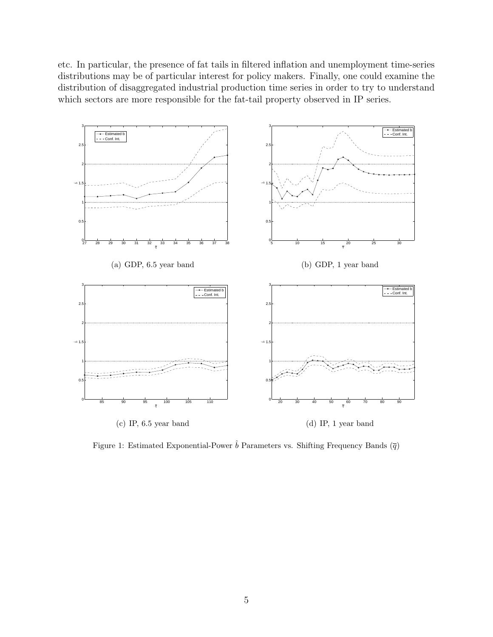etc. In particular, the presence of fat tails in filtered inflation and unemployment time-series distributions may be of particular interest for policy makers. Finally, one could examine the distribution of disaggregated industrial production time series in order to try to understand which sectors are more responsible for the fat-tail property observed in IP series.



Figure 1: Estimated Exponential-Power  $\hat{b}$  Parameters vs. Shifting Frequency Bands  $(\overline{q})$